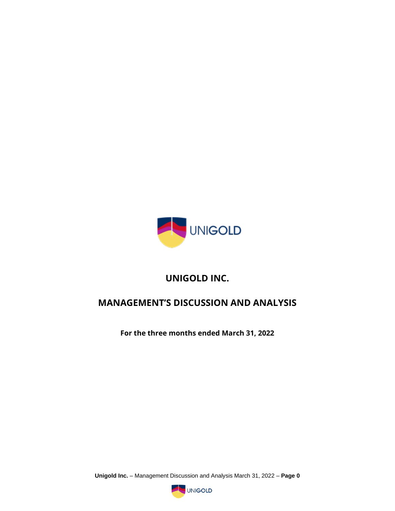

# **UNIGOLD INC.**

# **MANAGEMENT'S DISCUSSION AND ANALYSIS**

**For the three months ended March 31, 2022**

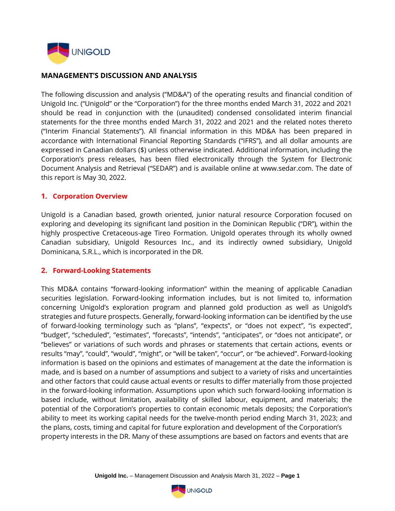

#### **MANAGEMENT'S DISCUSSION AND ANALYSIS**

The following discussion and analysis ("MD&A") of the operating results and financial condition of Unigold Inc. ("Unigold" or the "Corporation") for the three months ended March 31, 2022 and 2021 should be read in conjunction with the (unaudited) condensed consolidated interim financial statements for the three months ended March 31, 2022 and 2021 and the related notes thereto ("Interim Financial Statements"). All financial information in this MD&A has been prepared in accordance with International Financial Reporting Standards ("IFRS"), and all dollar amounts are expressed in Canadian dollars (\$) unless otherwise indicated. Additional information, including the Corporation's press releases, has been filed electronically through the System for Electronic Document Analysis and Retrieval ("SEDAR") and is available online at www.sedar.com. The date of this report is May 30, 2022.

#### **1. Corporation Overview**

Unigold is a Canadian based, growth oriented, junior natural resource Corporation focused on exploring and developing its significant land position in the Dominican Republic ("DR"), within the highly prospective Cretaceous-age Tireo Formation. Unigold operates through its wholly owned Canadian subsidiary, Unigold Resources Inc., and its indirectly owned subsidiary, Unigold Dominicana, S.R.L., which is incorporated in the DR.

#### **2. Forward-Looking Statements**

This MD&A contains "forward-looking information" within the meaning of applicable Canadian securities legislation. Forward-looking information includes, but is not limited to, information concerning Unigold's exploration program and planned gold production as well as Unigold's strategies and future prospects. Generally, forward-looking information can be identified by the use of forward-looking terminology such as "plans", "expects", or "does not expect", "is expected", "budget", "scheduled", "estimates", "forecasts", "intends", "anticipates", or "does not anticipate", or "believes" or variations of such words and phrases or statements that certain actions, events or results "may", "could", "would", "might", or "will be taken", "occur", or "be achieved". Forward-looking information is based on the opinions and estimates of management at the date the information is made, and is based on a number of assumptions and subject to a variety of risks and uncertainties and other factors that could cause actual events or results to differ materially from those projected in the forward-looking information. Assumptions upon which such forward-looking information is based include, without limitation, availability of skilled labour, equipment, and materials; the potential of the Corporation's properties to contain economic metals deposits; the Corporation's ability to meet its working capital needs for the twelve-month period ending March 31, 2023; and the plans, costs, timing and capital for future exploration and development of the Corporation's property interests in the DR. Many of these assumptions are based on factors and events that are

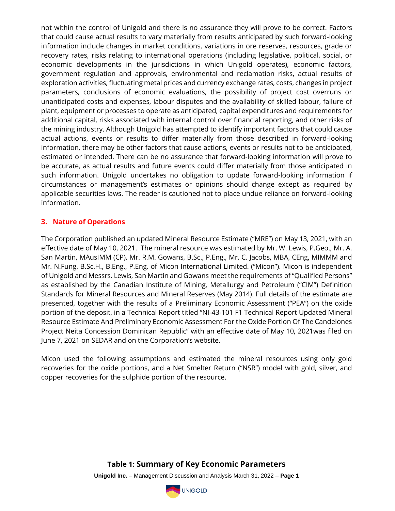not within the control of Unigold and there is no assurance they will prove to be correct. Factors that could cause actual results to vary materially from results anticipated by such forward-looking information include changes in market conditions, variations in ore reserves, resources, grade or recovery rates, risks relating to international operations (including legislative, political, social, or economic developments in the jurisdictions in which Unigold operates), economic factors, government regulation and approvals, environmental and reclamation risks, actual results of exploration activities, fluctuating metal prices and currency exchange rates, costs, changes in project parameters, conclusions of economic evaluations, the possibility of project cost overruns or unanticipated costs and expenses, labour disputes and the availability of skilled labour, failure of plant, equipment or processes to operate as anticipated, capital expenditures and requirements for additional capital, risks associated with internal control over financial reporting, and other risks of the mining industry. Although Unigold has attempted to identify important factors that could cause actual actions, events or results to differ materially from those described in forward-looking information, there may be other factors that cause actions, events or results not to be anticipated, estimated or intended. There can be no assurance that forward-looking information will prove to be accurate, as actual results and future events could differ materially from those anticipated in such information. Unigold undertakes no obligation to update forward-looking information if circumstances or management's estimates or opinions should change except as required by applicable securities laws. The reader is cautioned not to place undue reliance on forward-looking information.

#### **3. Nature of Operations**

The Corporation published an updated Mineral Resource Estimate ("MRE") on May 13, 2021, with an effective date of May 10, 2021. The mineral resource was estimated by Mr. W. Lewis, P.Geo., Mr. A. San Martin, MAusIMM (CP), Mr. R.M. Gowans, B.Sc., P.Eng., Mr. C. Jacobs, MBA, CEng, MIMMM and Mr. N.Fung, B.Sc.H., B.Eng., P.Eng. of Micon International Limited. ("Micon"). Micon is independent of Unigold and Messrs. Lewis, San Martin and Gowans meet the requirements of "Qualified Persons" as established by the Canadian Institute of Mining, Metallurgy and Petroleum ("CIM") Definition Standards for Mineral Resources and Mineral Reserves (May 2014). Full details of the estimate are presented, together with the results of a Preliminary Economic Assessment ("PEA") on the oxide portion of the deposit, in a Technical Report titled "NI-43-101 F1 Technical Report Updated Mineral Resource Estimate And Preliminary Economic Assessment For the Oxide Portion Of The Candelones Project Neita Concession Dominican Republic" with an effective date of May 10, 2021was filed on June 7, 2021 on SEDAR and on the Corporation's website.

Micon used the following assumptions and estimated the mineral resources using only gold recoveries for the oxide portions, and a Net Smelter Return ("NSR") model with gold, silver, and copper recoveries for the sulphide portion of the resource.

# **Table 1: Summary of Key Economic Parameters**

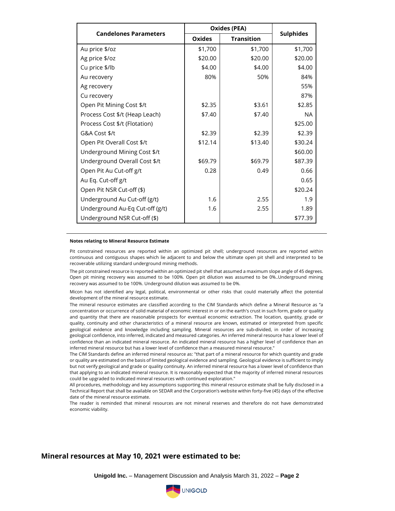| <b>Candelones Parameters</b>    | <b>Oxides (PEA)</b> |                   |                  |
|---------------------------------|---------------------|-------------------|------------------|
|                                 | <b>Oxides</b>       | <b>Transition</b> | <b>Sulphides</b> |
| Au price \$/oz                  | \$1,700             | \$1,700           | \$1,700          |
| Ag price \$/oz                  | \$20.00             | \$20.00           | \$20.00          |
| Cu price \$/lb                  | \$4.00              | \$4.00            | \$4.00           |
| Au recovery                     | 80%                 | 50%               | 84%              |
| Ag recovery                     |                     |                   | 55%              |
| Cu recovery                     |                     |                   | 87%              |
| Open Pit Mining Cost \$/t       | \$2.35              | \$3.61            | \$2.85           |
| Process Cost \$/t (Heap Leach)  | \$7.40              | \$7.40            | <b>NA</b>        |
| Process Cost \$/t (Flotation)   |                     |                   | \$25.00          |
| G&A Cost \$/t                   | \$2.39              | \$2.39            | \$2.39           |
| Open Pit Overall Cost \$/t      | \$12.14             | \$13.40           | \$30.24          |
| Underground Mining Cost \$/t    |                     |                   | \$60.00          |
| Underground Overall Cost \$/t   | \$69.79             | \$69.79           | \$87.39          |
| Open Pit Au Cut-off g/t         | 0.28                | 0.49              | 0.66             |
| Au Eq. Cut-off g/t              |                     |                   | 0.65             |
| Open Pit NSR Cut-off (\$)       |                     |                   | \$20.24          |
| Underground Au Cut-off (g/t)    | 1.6                 | 2.55              | 1.9              |
| Underground Au-Eq Cut-off (g/t) | 1.6                 | 2.55              | 1.89             |
| Underground NSR Cut-off (\$)    |                     |                   | \$77.39          |

#### **Notes relating to Mineral Resource Estimate**

Pit constrained resources are reported within an optimized pit shell; underground resources are reported within continuous and contiguous shapes which lie adjacent to and below the ultimate open pit shell and interpreted to be recoverable utilizing standard underground mining methods.

The pit constrained resource is reported within an optimized pit shell that assumed a maximum slope angle of 45 degrees. Open pit mining recovery was assumed to be 100%. Open pit dilution was assumed to be 0%..Underground mining recovery was assumed to be 100%. Underground dilution was assumed to be 0%.

Micon has not identified any legal, political, environmental or other risks that could materially affect the potential development of the mineral resource estimate.

The mineral resource estimates are classified according to the CIM Standards which define a Mineral Resource as "a concentration or occurrence of solid material of economic interest in or on the earth's crust in such form, grade or quality and quantity that there are reasonable prospects for eventual economic extraction. The location, quantity, grade or quality, continuity and other characteristics of a mineral resource are known, estimated or interpreted from specific geological evidence and knowledge including sampling. Mineral resources are sub-divided, in order of increasing geological confidence, into inferred, indicated and measured categories. An inferred mineral resource has a lower level of confidence than an indicated mineral resource. An indicated mineral resource has a higher level of confidence than an inferred mineral resource but has a lower level of confidence than a measured mineral resource."

The CIM Standards define an inferred mineral resource as: "that part of a mineral resource for which quantity and grade or quality are estimated on the basis of limited geological evidence and sampling. Geological evidence is sufficient to imply but not verify geological and grade or quality continuity. An inferred mineral resource has a lower level of confidence than that applying to an indicated mineral resource. It is reasonably expected that the majority of inferred mineral resources could be upgraded to indicated mineral resources with continued exploration."

All procedures, methodology and key assumptions supporting this mineral resource estimate shall be fully disclosed in a Technical Report that shall be available on SEDAR and the Corporation's website within forty-five (45) days of the effective date of the mineral resource estimate.

The reader is reminded that mineral resources are not mineral reserves and therefore do not have demonstrated economic viability.

#### **Mineral resources at May 10, 2021 were estimated to be:**

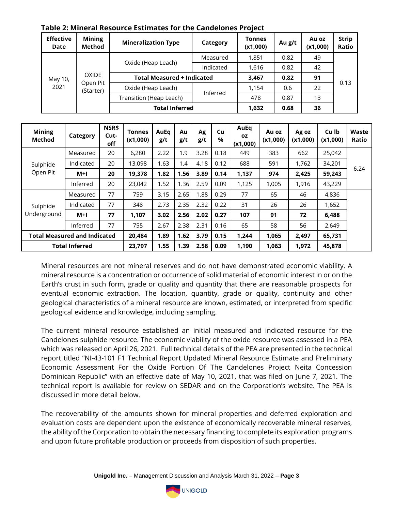| <b>Effective</b><br>Date | <b>Mining</b><br>Method | <b>Mineralization Type</b>        | Category  | Tonnes<br>(x1,000) | Au g/t | Au oz<br>(x1,000) | <b>Strip</b><br>Ratio |
|--------------------------|-------------------------|-----------------------------------|-----------|--------------------|--------|-------------------|-----------------------|
|                          |                         | Oxide (Heap Leach)                | Measured  | 1,851              | 0.82   | 49                |                       |
|                          | <b>OXIDE</b>            |                                   | Indicated | 1,616              | 0.82   | 42                |                       |
| May 10,                  |                         | <b>Total Measured + Indicated</b> | 3,467     | 0.82               | 91     |                   |                       |
| 2021                     | Open Pit<br>(Starter)   | Oxide (Heap Leach)                | Inferred  | 1,154              | 0.6    | 22                | 0.13                  |
|                          |                         | Transition (Heap Leach)           |           | 478                | 0.87   | 13                |                       |
|                          |                         | <b>Total Inferred</b>             | 1,632     | 0.68               | 36     |                   |                       |

# **Table 2: Mineral Resource Estimates for the Candelones Project**

| <b>Mining</b><br>Method             | Category              | NSR\$<br>Cut-<br>off | <b>Tonnes</b><br>(x1,000) | AuEq<br>g/t | Au<br>g/t | Ag<br>g/t | Cu<br>$\%$ | AuEq<br><b>OZ</b><br>(x1,000) | Au oz<br>(x1,000) | Ag oz<br>(x1,000) | Cu lb<br>(x1,000) | Waste<br>Ratio |
|-------------------------------------|-----------------------|----------------------|---------------------------|-------------|-----------|-----------|------------|-------------------------------|-------------------|-------------------|-------------------|----------------|
|                                     | Measured              | 20                   | 6,280                     | 2.22        | 1.9       | 3.28      | 0.18       | 449                           | 383               | 662               | 25,042            |                |
| Sulphide                            | Indicated             | 20                   | 13,098                    | 1.63        | 1.4       | 4.18      | 0.12       | 688                           | 591               | 1,762             | 34,201            |                |
| Open Pit                            | $M+I$                 | 20                   | 19,378                    | 1.82        | 1.56      | 3.89      | 0.14       | 1,137                         | 974               | 2,425             | 59,243            | 6.24           |
|                                     | Inferred              | 20                   | 23,042                    | 1.52        | 1.36      | 2.59      | 0.09       | 1,125                         | 1,005             | 1,916             | 43,229            |                |
|                                     | Measured              | 77                   | 759                       | 3.15        | 2.65      | 1.88      | 0.29       | 77                            | 65                | 46                | 4,836             |                |
| Sulphide                            | Indicated             | 77                   | 348                       | 2.73        | 2.35      | 2.32      | 0.22       | 31                            | 26                | 26                | 1,652             |                |
| Underground                         | $M+I$                 | 77                   | 1,107                     | 3.02        | 2.56      | 2.02      | 0.27       | 107                           | 91                | 72                | 6,488             |                |
|                                     | Inferred              | 77                   | 755                       | 2.67        | 2.38      | 2.31      | 0.16       | 65                            | 58                | 56                | 2,649             |                |
| <b>Total Measured and Indicated</b> |                       |                      | 20,484                    | 1.89        | 1.62      | 3.79      | 0.15       | 1,244                         | 1,065             | 2,497             | 65,731            |                |
|                                     | <b>Total Inferred</b> |                      | 23,797                    | 1.55        | 1.39      | 2.58      | 0.09       | 1,190                         | 1,063             | 1,972             | 45,878            |                |

Mineral resources are not mineral reserves and do not have demonstrated economic viability. A mineral resource is a concentration or occurrence of solid material of economic interest in or on the Earth's crust in such form, grade or quality and quantity that there are reasonable prospects for eventual economic extraction. The location, quantity, grade or quality, continuity and other geological characteristics of a mineral resource are known, estimated, or interpreted from specific geological evidence and knowledge, including sampling.

The current mineral resource established an initial measured and indicated resource for the Candelones sulphide resource. The economic viability of the oxide resource was assessed in a PEA which was released on April 26, 2021. Full technical details of the PEA are presented in the technical report titled "NI-43-101 F1 Technical Report Updated Mineral Resource Estimate and Preliminary Economic Assessment For the Oxide Portion Of The Candelones Project Neita Concession Dominican Republic" with an effective date of May 10, 2021, that was filed on June 7, 2021. The technical report is available for review on SEDAR and on the Corporation's website. The PEA is discussed in more detail below.

The recoverability of the amounts shown for mineral properties and deferred exploration and evaluation costs are dependent upon the existence of economically recoverable mineral reserves, the ability of the Corporation to obtain the necessary financing to complete its exploration programs and upon future profitable production or proceeds from disposition of such properties.

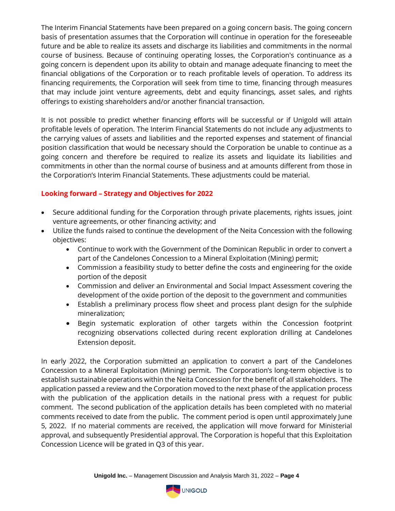The Interim Financial Statements have been prepared on a going concern basis. The going concern basis of presentation assumes that the Corporation will continue in operation for the foreseeable future and be able to realize its assets and discharge its liabilities and commitments in the normal course of business. Because of continuing operating losses, the Corporation's continuance as a going concern is dependent upon its ability to obtain and manage adequate financing to meet the financial obligations of the Corporation or to reach profitable levels of operation. To address its financing requirements, the Corporation will seek from time to time, financing through measures that may include joint venture agreements, debt and equity financings, asset sales, and rights offerings to existing shareholders and/or another financial transaction.

It is not possible to predict whether financing efforts will be successful or if Unigold will attain profitable levels of operation. The Interim Financial Statements do not include any adjustments to the carrying values of assets and liabilities and the reported expenses and statement of financial position classification that would be necessary should the Corporation be unable to continue as a going concern and therefore be required to realize its assets and liquidate its liabilities and commitments in other than the normal course of business and at amounts different from those in the Corporation's Interim Financial Statements. These adjustments could be material.

# **Looking forward – Strategy and Objectives for 2022**

- Secure additional funding for the Corporation through private placements, rights issues, joint venture agreements, or other financing activity; and
- Utilize the funds raised to continue the development of the Neita Concession with the following objectives:
	- Continue to work with the Government of the Dominican Republic in order to convert a part of the Candelones Concession to a Mineral Exploitation (Mining) permit;
	- Commission a feasibility study to better define the costs and engineering for the oxide portion of the deposit
	- Commission and deliver an Environmental and Social Impact Assessment covering the development of the oxide portion of the deposit to the government and communities
	- Establish a preliminary process flow sheet and process plant design for the sulphide mineralization;
	- Begin systematic exploration of other targets within the Concession footprint recognizing observations collected during recent exploration drilling at Candelones Extension deposit.

In early 2022, the Corporation submitted an application to convert a part of the Candelones Concession to a Mineral Exploitation (Mining) permit. The Corporation's long-term objective is to establish sustainable operations within the Neita Concession for the benefit of all stakeholders. The application passed a review and the Corporation moved to the next phase of the application process with the publication of the application details in the national press with a request for public comment. The second publication of the application details has been completed with no material comments received to date from the public. The comment period is open until approximately June 5, 2022. If no material comments are received, the application will move forward for Ministerial approval, and subsequently Presidential approval. The Corporation is hopeful that this Exploitation Concession Licence will be grated in Q3 of this year.

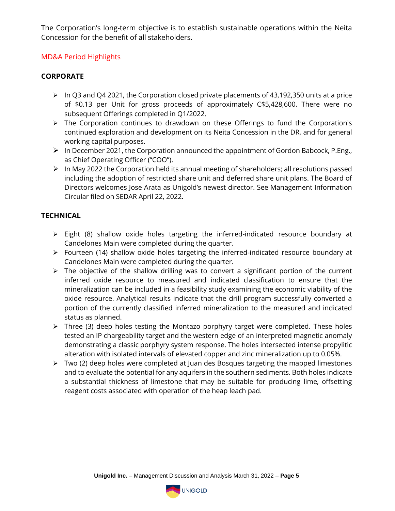The Corporation's long-term objective is to establish sustainable operations within the Neita Concession for the benefit of all stakeholders.

# MD&A Period Highlights

# **CORPORATE**

- ➢ In Q3 and Q4 2021, the Corporation closed private placements of 43,192,350 units at a price of \$0.13 per Unit for gross proceeds of approximately C\$5,428,600. There were no subsequent Offerings completed in Q1/2022.
- ➢ The Corporation continues to drawdown on these Offerings to fund the Corporation's continued exploration and development on its Neita Concession in the DR, and for general working capital purposes.
- ➢ In December 2021, the Corporation announced the appointment of Gordon Babcock, P.Eng., as Chief Operating Officer ("COO").
- ➢ In May 2022 the Corporation held its annual meeting of shareholders; all resolutions passed including the adoption of restricted share unit and deferred share unit plans. The Board of Directors welcomes Jose Arata as Unigold's newest director. See Management Information Circular filed on SEDAR April 22, 2022.

# **TECHNICAL**

- ➢ Eight (8) shallow oxide holes targeting the inferred-indicated resource boundary at Candelones Main were completed during the quarter.
- ➢ Fourteen (14) shallow oxide holes targeting the inferred-indicated resource boundary at Candelones Main were completed during the quarter.
- ➢ The objective of the shallow drilling was to convert a significant portion of the current inferred oxide resource to measured and indicated classification to ensure that the mineralization can be included in a feasibility study examining the economic viability of the oxide resource. Analytical results indicate that the drill program successfully converted a portion of the currently classified inferred mineralization to the measured and indicated status as planned.
- ➢ Three (3) deep holes testing the Montazo porphyry target were completed. These holes tested an IP chargeability target and the western edge of an interpreted magnetic anomaly demonstrating a classic porphyry system response. The holes intersected intense propylitic alteration with isolated intervals of elevated copper and zinc mineralization up to 0.05%.
- ➢ Two (2) deep holes were completed at Juan des Bosques targeting the mapped limestones and to evaluate the potential for any aquifers in the southern sediments. Both holes indicate a substantial thickness of limestone that may be suitable for producing lime, offsetting reagent costs associated with operation of the heap leach pad.

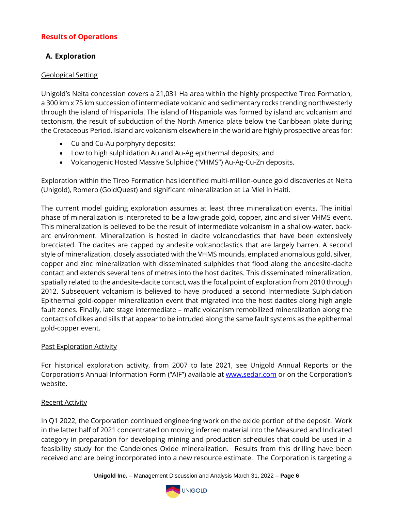# **Results of Operations**

# **A. Exploration**

#### Geological Setting

Unigold's Neita concession covers a 21,031 Ha area within the highly prospective Tireo Formation, a 300 km x 75 km succession of intermediate volcanic and sedimentary rocks trending northwesterly through the island of Hispaniola. The island of Hispaniola was formed by island arc volcanism and tectonism, the result of subduction of the North America plate below the Caribbean plate during the Cretaceous Period. Island arc volcanism elsewhere in the world are highly prospective areas for:

- Cu and Cu-Au porphyry deposits;
- Low to high sulphidation Au and Au-Ag epithermal deposits; and
- Volcanogenic Hosted Massive Sulphide ("VHMS") Au-Ag-Cu-Zn deposits.

Exploration within the Tireo Formation has identified multi-million-ounce gold discoveries at Neita (Unigold), Romero (GoldQuest) and significant mineralization at La Miel in Haiti.

The current model guiding exploration assumes at least three mineralization events. The initial phase of mineralization is interpreted to be a low-grade gold, copper, zinc and silver VHMS event. This mineralization is believed to be the result of intermediate volcanism in a shallow-water, backarc environment. Mineralization is hosted in dacite volcanoclastics that have been extensively brecciated. The dacites are capped by andesite volcanoclastics that are largely barren. A second style of mineralization, closely associated with the VHMS mounds, emplaced anomalous gold, silver, copper and zinc mineralization with disseminated sulphides that flood along the andesite-dacite contact and extends several tens of metres into the host dacites. This disseminated mineralization, spatially related to the andesite-dacite contact, was the focal point of exploration from 2010 through 2012. Subsequent volcanism is believed to have produced a second Intermediate Sulphidation Epithermal gold-copper mineralization event that migrated into the host dacites along high angle fault zones. Finally, late stage intermediate – mafic volcanism remobilized mineralization along the contacts of dikes and sills that appear to be intruded along the same fault systems as the epithermal gold-copper event.

# Past Exploration Activity

For historical exploration activity, from 2007 to late 2021, see Unigold Annual Reports or the Corporation's Annual Information Form ("AIF") available at [www.sedar.com](http://www.sedar.com/) or on the Corporation's website.

# Recent Activity

In Q1 2022, the Corporation continued engineering work on the oxide portion of the deposit. Work in the latter half of 2021 concentrated on moving inferred material into the Measured and Indicated category in preparation for developing mining and production schedules that could be used in a feasibility study for the Candelones Oxide mineralization. Results from this drilling have been received and are being incorporated into a new resource estimate. The Corporation is targeting a

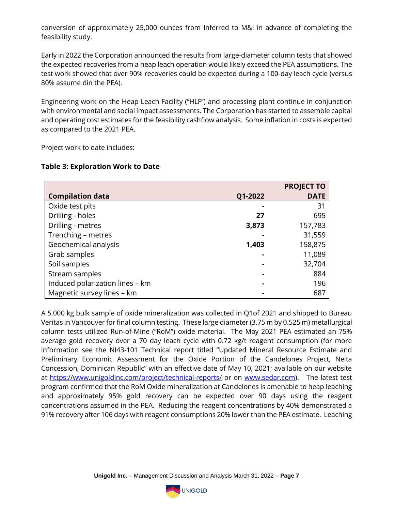conversion of approximately 25,000 ounces from Inferred to M&I in advance of completing the feasibility study.

Early in 2022 the Corporation announced the results from large-diameter column tests that showed the expected recoveries from a heap leach operation would likely exceed the PEA assumptions. The test work showed that over 90% recoveries could be expected during a 100-day leach cycle (versus 80% assume din the PEA).

Engineering work on the Heap Leach Facility ("HLF") and processing plant continue in conjunction with environmental and social impact assessments. The Corporation has started to assemble capital and operating cost estimates for the feasibility cashflow analysis. Some inflation in costs is expected as compared to the 2021 PEA.

Project work to date includes:

# **Table 3: Exploration Work to Date**

|                                 |         | <b>PROJECT TO</b> |
|---------------------------------|---------|-------------------|
| <b>Compilation data</b>         | Q1-2022 | <b>DATE</b>       |
| Oxide test pits                 |         | 31                |
| Drilling - holes                | 27      | 695               |
| Drilling - metres               | 3,873   | 157,783           |
| Trenching - metres              |         | 31,559            |
| Geochemical analysis            | 1,403   | 158,875           |
| Grab samples                    |         | 11,089            |
| Soil samples                    |         | 32,704            |
| Stream samples                  |         | 884               |
| Induced polarization lines - km |         | 196               |
| Magnetic survey lines - km      |         | 687               |

A 5,000 kg bulk sample of oxide mineralization was collected in Q1of 2021 and shipped to Bureau Veritas in Vancouver for final column testing. These large diameter (3.75 m by 0.525 m) metallurgical column tests utilized Run-of-Mine ("RoM") oxide material. The May 2021 PEA estimated an 75% average gold recovery over a 70 day leach cycle with 0.72 kg/t reagent consumption (for more information see the NI43-101 Technical report titled "Updated Mineral Resource Estimate and Preliminary Economic Assessment for the Oxide Portion of the Candelones Project, Neita Concession, Dominican Republic" with an effective date of May 10, 2021; available on our website at<https://www.unigoldinc.com/project/technical-reports/> or on [www.sedar.com\)](http://www.sedar.com/). The latest test program confirmed that the RoM Oxide mineralization at Candelones is amenable to heap leaching and approximately 95% gold recovery can be expected over 90 days using the reagent concentrations assumed in the PEA. Reducing the reagent concentrations by 40% demonstrated a 91% recovery after 106 days with reagent consumptions 20% lower than the PEA estimate. Leaching

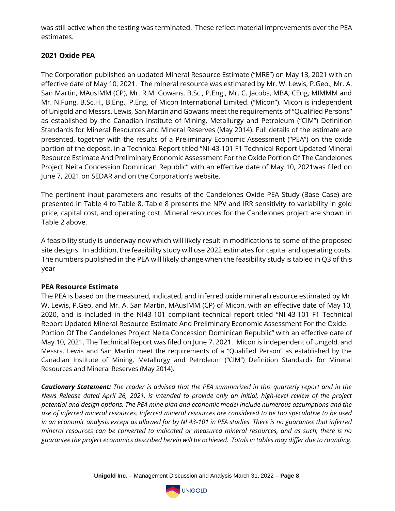was still active when the testing was terminated. These reflect material improvements over the PEA estimates.

# **2021 Oxide PEA**

The Corporation published an updated Mineral Resource Estimate ("MRE") on May 13, 2021 with an effective date of May 10, 2021. The mineral resource was estimated by Mr. W. Lewis, P.Geo., Mr. A. San Martin, MAusIMM (CP), Mr. R.M. Gowans, B.Sc., P.Eng., Mr. C. Jacobs, MBA, CEng, MIMMM and Mr. N.Fung, B.Sc.H., B.Eng., P.Eng. of Micon International Limited. ("Micon"). Micon is independent of Unigold and Messrs. Lewis, San Martin and Gowans meet the requirements of "Qualified Persons" as established by the Canadian Institute of Mining, Metallurgy and Petroleum ("CIM") Definition Standards for Mineral Resources and Mineral Reserves (May 2014). Full details of the estimate are presented, together with the results of a Preliminary Economic Assessment ("PEA") on the oxide portion of the deposit, in a Technical Report titled "NI-43-101 F1 Technical Report Updated Mineral Resource Estimate And Preliminary Economic Assessment For the Oxide Portion Of The Candelones Project Neita Concession Dominican Republic" with an effective date of May 10, 2021was filed on June 7, 2021 on SEDAR and on the Corporation's website.

The pertinent input parameters and results of the Candelones Oxide PEA Study (Base Case) are presented in Table 4 to Table 8. Table 8 presents the NPV and IRR sensitivity to variability in gold price, capital cost, and operating cost. Mineral resources for the Candelones project are shown in Table 2 above.

A feasibility study is underway now which will likely result in modifications to some of the proposed site designs. In addition, the feasibility study will use 2022 estimates for capital and operating costs. The numbers published in the PEA will likely change when the feasibility study is tabled in Q3 of this year

# **PEA Resource Estimate**

The PEA is based on the measured, indicated, and inferred oxide mineral resource estimated by Mr. W. Lewis, P.Geo. and Mr. A. San Martin, MAusIMM (CP) of Micon, with an effective date of May 10, 2020, and is included in the NI43-101 compliant technical report titled "NI-43-101 F1 Technical Report Updated Mineral Resource Estimate And Preliminary Economic Assessment For the Oxide. Portion Of The Candelones Project Neita Concession Dominican Republic" with an effective date of May 10, 2021. The Technical Report was filed on June 7, 2021. Micon is independent of Unigold, and Messrs. Lewis and San Martin meet the requirements of a "Qualified Person" as established by the Canadian Institute of Mining, Metallurgy and Petroleum ("CIM") Definition Standards for Mineral Resources and Mineral Reserves (May 2014).

*Cautionary Statement: The reader is advised that the PEA summarized in this quarterly report and in the News Release dated April 26, 2021, is intended to provide only an initial, high-level review of the project potential and design options. The PEA mine plan and economic model include numerous assumptions and the use of inferred mineral resources. Inferred mineral resources are considered to be too speculative to be used*  in an economic analysis except as allowed for by NI 43-101 in PEA studies. There is no guarantee that inferred *mineral resources can be converted to indicated or measured mineral resources, and as such, there is no guarantee the project economics described herein will be achieved. Totals in tables may differ due to rounding.*

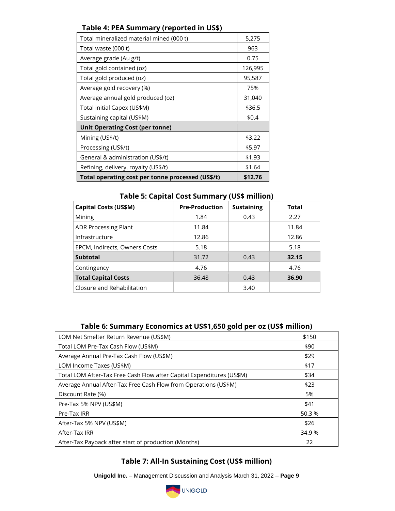# **Table 4: PEA Summary (reported in US\$)**

| Total mineralized material mined (000 t)          | 5,275   |
|---------------------------------------------------|---------|
| Total waste (000 t)                               | 963     |
| Average grade (Au g/t)                            | 0.75    |
| Total gold contained (oz)                         | 126,995 |
| Total gold produced (oz)                          | 95,587  |
| Average gold recovery (%)                         | 75%     |
| Average annual gold produced (oz)                 | 31,040  |
| Total initial Capex (US\$M)                       | \$36.5  |
| Sustaining capital (US\$M)                        | \$0.4   |
| <b>Unit Operating Cost (per tonne)</b>            |         |
| Mining (US\$/t)                                   | \$3.22  |
| Processing (US\$/t)                               | \$5.97  |
| General & administration (US\$/t)                 | \$1.93  |
| Refining, delivery, royalty (US\$/t)              | \$1.64  |
| Total operating cost per tonne processed (US\$/t) | \$12.76 |

**Table 5: Capital Cost Summary (US\$ million)**

| <b>Capital Costs (US\$M)</b>  | <b>Pre-Production</b> | <b>Sustaining</b> | <b>Total</b> |
|-------------------------------|-----------------------|-------------------|--------------|
| Mining                        | 1.84                  | 0.43              | 2.27         |
| <b>ADR Processing Plant</b>   | 11.84                 |                   | 11.84        |
| Infrastructure                | 12.86                 |                   | 12.86        |
| EPCM, Indirects, Owners Costs | 5.18                  |                   | 5.18         |
| <b>Subtotal</b>               | 31.72                 | 0.43              | 32.15        |
| Contingency                   | 4.76                  |                   | 4.76         |
| <b>Total Capital Costs</b>    | 36.48                 | 0.43              | 36.90        |
| Closure and Rehabilitation    |                       | 3.40              |              |

# **Table 6: Summary Economics at US\$1,650 gold per oz (US\$ million)**

| LOM Net Smelter Return Revenue (US\$M)                                | \$150  |
|-----------------------------------------------------------------------|--------|
| Total LOM Pre-Tax Cash Flow (US\$M)                                   | \$90   |
| Average Annual Pre-Tax Cash Flow (US\$M)                              | \$29   |
| LOM Income Taxes (US\$M)                                              | \$17   |
| Total LOM After-Tax Free Cash Flow after Capital Expenditures (US\$M) | \$34   |
| Average Annual After-Tax Free Cash Flow from Operations (US\$M)       | \$23   |
| Discount Rate (%)                                                     | 5%     |
| Pre-Tax 5% NPV (US\$M)                                                | \$41   |
| Pre-Tax IRR                                                           | 50.3 % |
| After-Tax 5% NPV (US\$M)                                              | \$26   |
| After-Tax IRR                                                         | 34.9 % |
| After-Tax Payback after start of production (Months)                  | 22     |

# **Table 7: All-In Sustaining Cost (US\$ million)**

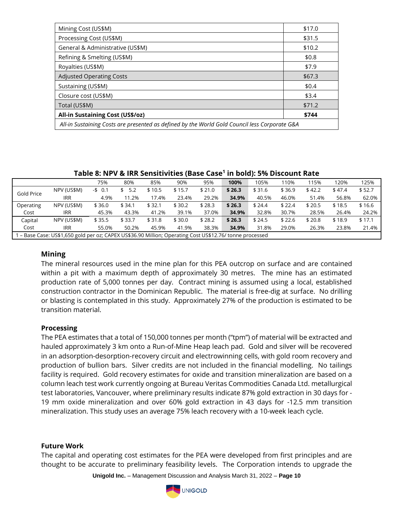| Mining Cost (US\$M)                                                                           | \$17.0 |  |  |  |  |
|-----------------------------------------------------------------------------------------------|--------|--|--|--|--|
| Processing Cost (US\$M)                                                                       | \$31.5 |  |  |  |  |
| General & Administrative (US\$M)                                                              | \$10.2 |  |  |  |  |
| Refining & Smelting (US\$M)                                                                   | \$0.8  |  |  |  |  |
| Royalties (US\$M)                                                                             | \$7.9  |  |  |  |  |
| <b>Adjusted Operating Costs</b>                                                               | \$67.3 |  |  |  |  |
| Sustaining (US\$M)                                                                            | \$0.4  |  |  |  |  |
| Closure cost (US\$M)                                                                          | \$3.4  |  |  |  |  |
| Total (US\$M)                                                                                 | \$71.2 |  |  |  |  |
| <b>All-in Sustaining Cost (US\$/oz)</b>                                                       | \$744  |  |  |  |  |
| All-in Sustaining Costs are presented as defined by the World Gold Council less Corporate G&A |        |  |  |  |  |

**Table 8: NPV & IRR Sensitivities (Base Case<sup>1</sup> in bold): 5% Discount Rate**

|                                                                                                        |             | 75%      | 80%    | 85%    | 90%    | 95%    | 100%   | 105%   | 110%   | 115%   | 120%   | 125%   |
|--------------------------------------------------------------------------------------------------------|-------------|----------|--------|--------|--------|--------|--------|--------|--------|--------|--------|--------|
|                                                                                                        | NPV (US\$M) | $-5$ 0.1 | 5.2    | \$10.5 | \$15.7 | \$21.0 | \$26.3 | \$31.6 | \$36.9 | \$42.2 | \$47.4 | \$52.7 |
| Gold Price                                                                                             | <b>IRR</b>  | 4.9%     | 11.2%  | 17.4%  | 23.4%  | 29.2%  | 34.9%  | 40.5%  | 46.0%  | 51.4%  | 56.8%  | 62.0%  |
| Operating                                                                                              | NPV (US\$M) | \$36.0   | \$34.1 | \$32.1 | \$30.2 | \$28.3 | \$26.3 | \$24.4 | \$22.4 | \$20.5 | \$18.5 | \$16.6 |
| Cost                                                                                                   | <b>IRR</b>  | 45.3%    | 43.3%  | 41.2%  | 39.1%  | 37.0%  | 34.9%  | 32.8%  | 30.7%  | 28.5%  | 26.4%  | 24.2%  |
| Capital                                                                                                | NPV (US\$M) | \$35.5   | \$33.7 | \$31.8 | \$30.0 | \$28.2 | \$26.3 | \$24.5 | \$22.6 | \$20.8 | \$18.9 | \$17.1 |
| Cost                                                                                                   | <b>IRR</b>  | 55.0%    | 50.2%  | 45.9%  | 41.9%  | 38.3%  | 34.9%  | 31.8%  | 29.0%  | 26.3%  | 23.8%  | 21.4%  |
| - Base Case: US\$1,650 gold per oz; CAPEX US\$36.90 Million; Operating Cost US\$12.76/ tonne processed |             |          |        |        |        |        |        |        |        |        |        |        |

#### **Mining**

The mineral resources used in the mine plan for this PEA outcrop on surface and are contained within a pit with a maximum depth of approximately 30 metres. The mine has an estimated production rate of 5,000 tonnes per day. Contract mining is assumed using a local, established construction contractor in the Dominican Republic. The material is free-dig at surface. No drilling or blasting is contemplated in this study. Approximately 27% of the production is estimated to be transition material.

#### **Processing**

The PEA estimates that a total of 150,000 tonnes per month ("tpm") of material will be extracted and hauled approximately 3 km onto a Run-of-Mine Heap leach pad. Gold and silver will be recovered in an adsorption-desorption-recovery circuit and electrowinning cells, with gold room recovery and production of bullion bars. Silver credits are not included in the financial modelling. No tailings facility is required. Gold recovery estimates for oxide and transition mineralization are based on a column leach test work currently ongoing at Bureau Veritas Commodities Canada Ltd. metallurgical test laboratories, Vancouver, where preliminary results indicate 87% gold extraction in 30 days for - 19 mm oxide mineralization and over 60% gold extraction in 43 days for -12.5 mm transition mineralization. This study uses an average 75% leach recovery with a 10-week leach cycle.

#### **Future Work**

The capital and operating cost estimates for the PEA were developed from first principles and are thought to be accurate to preliminary feasibility levels. The Corporation intends to upgrade the

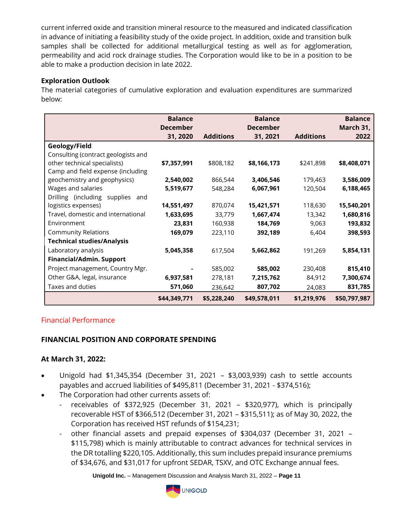current inferred oxide and transition mineral resource to the measured and indicated classification in advance of initiating a feasibility study of the oxide project. In addition, oxide and transition bulk samples shall be collected for additional metallurgical testing as well as for agglomeration, permeability and acid rock drainage studies. The Corporation would like to be in a position to be able to make a production decision in late 2022.

# **Exploration Outlook**

The material categories of cumulative exploration and evaluation expenditures are summarized below:

|                                     | <b>Balance</b><br><b>December</b> |                  | <b>Balance</b><br><b>December</b> |                  | <b>Balance</b><br>March 31, |
|-------------------------------------|-----------------------------------|------------------|-----------------------------------|------------------|-----------------------------|
|                                     | 31, 2020                          | <b>Additions</b> | 31, 2021                          | <b>Additions</b> | 2022                        |
| Geology/Field                       |                                   |                  |                                   |                  |                             |
| Consulting (contract geologists and |                                   |                  |                                   |                  |                             |
| other technical specialists)        | \$7,357,991                       | \$808,182        | \$8,166,173                       | \$241,898        | \$8,408,071                 |
| Camp and field expense (including   |                                   |                  |                                   |                  |                             |
| geochemistry and geophysics)        | 2,540,002                         | 866,544          | 3,406,546                         | 179,463          | 3,586,009                   |
| Wages and salaries                  | 5,519,677                         | 548,284          | 6,067,961                         | 120,504          | 6,188,465                   |
| Drilling (including supplies and    |                                   |                  |                                   |                  |                             |
| logistics expenses)                 | 14,551,497                        | 870,074          | 15,421,571                        | 118,630          | 15,540,201                  |
| Travel, domestic and international  | 1,633,695                         | 33,779           | 1,667,474                         | 13,342           | 1,680,816                   |
| Environment                         | 23,831                            | 160,938          | 184,769                           | 9,063            | 193,832                     |
| <b>Community Relations</b>          | 169,079                           | 223,110          | 392,189                           | 6,404            | 398,593                     |
| <b>Technical studies/Analysis</b>   |                                   |                  |                                   |                  |                             |
| Laboratory analysis                 | 5,045,358                         | 617,504          | 5,662,862                         | 191,269          | 5,854,131                   |
| <b>Financial/Admin. Support</b>     |                                   |                  |                                   |                  |                             |
| Project management, Country Mgr.    |                                   | 585,002          | 585,002                           | 230,408          | 815,410                     |
| Other G&A, legal, insurance         | 6,937,581                         | 278,181          | 7,215,762                         | 84,912           | 7,300,674                   |
| Taxes and duties                    | 571,060                           | 236,642          | 807,702                           | 24,083           | 831,785                     |
|                                     | \$44,349,771                      | \$5,228,240      | \$49,578,011                      | \$1,219,976      | \$50,797,987                |

# Financial Performance

# **FINANCIAL POSITION AND CORPORATE SPENDING**

# **At March 31, 2022:**

- Unigold had \$1,345,354 (December 31, 2021 \$3,003,939) cash to settle accounts payables and accrued liabilities of \$495,811 (December 31, 2021 - \$374,516);
- The Corporation had other currents assets of:
	- receivables of \$372,925 (December 31, 2021 \$320,977), which is principally recoverable HST of \$366,512 (December 31, 2021 – \$315,511); as of May 30, 2022, the Corporation has received HST refunds of \$154,231;
	- other financial assets and prepaid expenses of \$304,037 (December 31, 2021 \$115,798) which is mainly attributable to contract advances for technical services in the DR totalling \$220,105. Additionally, this sum includes prepaid insurance premiums of \$34,676, and \$31,017 for upfront SEDAR, TSXV, and OTC Exchange annual fees.

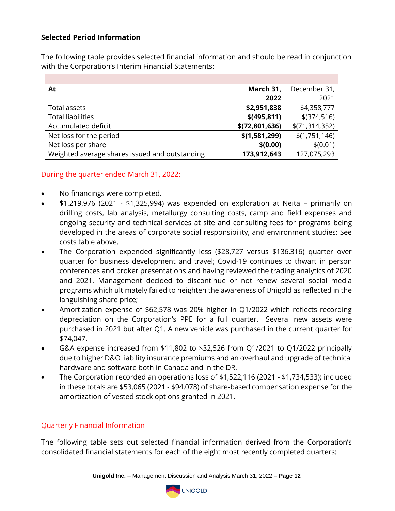# **Selected Period Information**

The following table provides selected financial information and should be read in conjunction with the Corporation's Interim Financial Statements:

| At                                             | March 31,      | December 31,   |
|------------------------------------------------|----------------|----------------|
|                                                | 2022           | 2021           |
| Total assets                                   | \$2,951,838    | \$4,358,777    |
| <b>Total liabilities</b>                       | \$ (495, 811)  | $$$ (374,516)  |
| Accumulated deficit                            | \$(72,801,636) | \$(71,314,352) |
| Net loss for the period                        | \$(1,581,299)  | \$(1,751,146)  |
| Net loss per share                             | \$(0.00)       | \$(0.01)       |
| Weighted average shares issued and outstanding | 173,912,643    | 127,075,293    |

# During the quarter ended March 31, 2022:

- No financings were completed.
- \$1,219,976 (2021 \$1,325,994) was expended on exploration at Neita primarily on drilling costs, lab analysis, metallurgy consulting costs, camp and field expenses and ongoing security and technical services at site and consulting fees for programs being developed in the areas of corporate social responsibility, and environment studies; See costs table above.
- The Corporation expended significantly less (\$28,727 versus \$136,316) quarter over quarter for business development and travel; Covid-19 continues to thwart in person conferences and broker presentations and having reviewed the trading analytics of 2020 and 2021, Management decided to discontinue or not renew several social media programs which ultimately failed to heighten the awareness of Unigold as reflected in the languishing share price;
- Amortization expense of \$62,578 was 20% higher in Q1/2022 which reflects recording depreciation on the Corporation's PPE for a full quarter. Several new assets were purchased in 2021 but after Q1. A new vehicle was purchased in the current quarter for \$74,047.
- G&A expense increased from \$11,802 to \$32,526 from Q1/2021 to Q1/2022 principally due to higher D&O liability insurance premiums and an overhaul and upgrade of technical hardware and software both in Canada and in the DR.
- The Corporation recorded an operations loss of \$1,522,116 (2021 \$1,734,533); included in these totals are \$53,065 (2021 - \$94,078) of share-based compensation expense for the amortization of vested stock options granted in 2021.

# Quarterly Financial Information

The following table sets out selected financial information derived from the Corporation's consolidated financial statements for each of the eight most recently completed quarters:

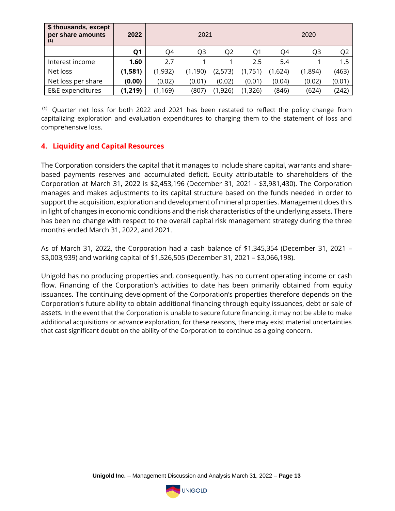| \$ thousands, except<br>per share amounts<br>(1) | 2022           |          | 2021     |          | 2020     |         |         |                |
|--------------------------------------------------|----------------|----------|----------|----------|----------|---------|---------|----------------|
|                                                  | Q <sub>1</sub> | Q4       | Q3       | Q2       | Q1       | Q4      | Q3      | Q <sub>2</sub> |
| Interest income                                  | 1.60           | 2.7      |          |          | $2.5\,$  | 5.4     |         | 1.5            |
| Net loss                                         | (1,581)        | (1,932)  | (1, 190) | (2,573)  | (1,751)  | (1,624) | (1,894) | (463)          |
| Net loss per share                               | (0.00)         | (0.02)   | (0.01)   | (0.02)   | (0.01)   | (0.04)  | (0.02)  | (0.01)         |
| E&E expenditures                                 | (1, 219)       | (1, 169) | (807)    | (1, 926) | (1, 326) | (846)   | (624)   | (242)          |

**(1)** Quarter net loss for both 2022 and 2021 has been restated to reflect the policy change from capitalizing exploration and evaluation expenditures to charging them to the statement of loss and comprehensive loss.

# **4. Liquidity and Capital Resources**

The Corporation considers the capital that it manages to include share capital, warrants and sharebased payments reserves and accumulated deficit. Equity attributable to shareholders of the Corporation at March 31, 2022 is \$2,453,196 (December 31, 2021 - \$3,981,430). The Corporation manages and makes adjustments to its capital structure based on the funds needed in order to support the acquisition, exploration and development of mineral properties. Management does this in light of changes in economic conditions and the risk characteristics of the underlying assets. There has been no change with respect to the overall capital risk management strategy during the three months ended March 31, 2022, and 2021.

As of March 31, 2022, the Corporation had a cash balance of \$1,345,354 (December 31, 2021 – \$3,003,939) and working capital of \$1,526,505 (December 31, 2021 – \$3,066,198).

Unigold has no producing properties and, consequently, has no current operating income or cash flow. Financing of the Corporation's activities to date has been primarily obtained from equity issuances. The continuing development of the Corporation's properties therefore depends on the Corporation's future ability to obtain additional financing through equity issuances, debt or sale of assets. In the event that the Corporation is unable to secure future financing, it may not be able to make additional acquisitions or advance exploration, for these reasons, there may exist material uncertainties that cast significant doubt on the ability of the Corporation to continue as a going concern.

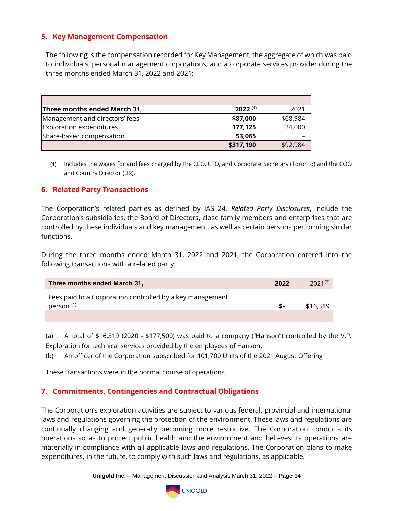# **5. Key Management Compensation**

The following is the compensation recorded for Key Management, the aggregate of which was paid to individuals, personal management corporations, and a corporate services provider during the three months ended March 31, 2022 and 2021:

| Three months ended March 31,   | $2022^{(1)}$ | 2021     |
|--------------------------------|--------------|----------|
| Management and directors' fees | \$87,000     | \$68,984 |
| Exploration expenditures       | 177,125      | 24,000   |
| Share-based compensation       | 53,065       |          |
|                                | \$317,190    | \$92,984 |

(1) Includes the wages for and fees charged by the CEO, CFO, and Corporate Secretary (Toronto) and the COO and Country Director (DR).

# **6. Related Party Transactions**

The Corporation's related parties as defined by IAS 24, *Related Party Disclosures*, include the Corporation's subsidiaries, the Board of Directors, close family members and enterprises that are controlled by these individuals and key management, as well as certain persons performing similar functions.

During the three months ended March 31, 2022 and 2021, the Corporation entered into the following transactions with a related party:

| Three months ended March 31,                                                       | 2022 | $2021^{(2)}$ |
|------------------------------------------------------------------------------------|------|--------------|
| Fees paid to a Corporation controlled by a key management<br>person <sup>(1)</sup> | - S  | \$16.319     |
|                                                                                    |      |              |

(a) A total of \$16,319 (2020 - \$177,500) was paid to a company ("Hanson") controlled by the V.P. Exploration for technical services provided by the employees of Hanson.

(b) An officer of the Corporation subscribed for 101,700 Units of the 2021 August Offering

These transactions were in the normal course of operations.

# **7. Commitments, Contingencies and Contractual Obligations**

The Corporation's exploration activities are subject to various federal, provincial and international laws and regulations governing the protection of the environment. These laws and regulations are continually changing and generally becoming more restrictive. The Corporation conducts its operations so as to protect public health and the environment and believes its operations are materially in compliance with all applicable laws and regulations. The Corporation plans to make expenditures, in the future, to comply with such laws and regulations, as applicable.

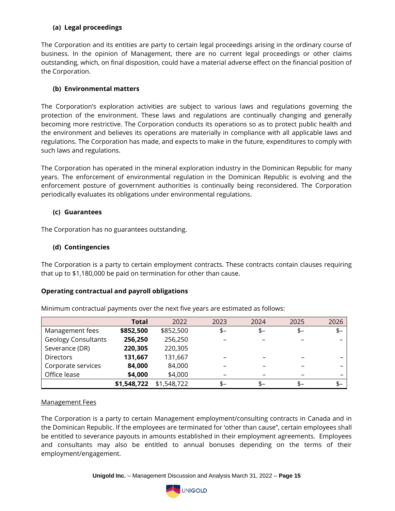### **(a) Legal proceedings**

The Corporation and its entities are party to certain legal proceedings arising in the ordinary course of business. In the opinion of Management, there are no current legal proceedings or other claims outstanding, which, on final disposition, could have a material adverse effect on the financial position of the Corporation.

#### **(b) Environmental matters**

The Corporation's exploration activities are subject to various laws and regulations governing the protection of the environment. These laws and regulations are continually changing and generally becoming more restrictive. The Corporation conducts its operations so as to protect public health and the environment and believes its operations are materially in compliance with all applicable laws and regulations. The Corporation has made, and expects to make in the future, expenditures to comply with such laws and regulations.

The Corporation has operated in the mineral exploration industry in the Dominican Republic for many years. The enforcement of environmental regulation in the Dominican Republic is evolving and the enforcement posture of government authorities is continually being reconsidered. The Corporation periodically evaluates its obligations under environmental regulations.

#### **(c) Guarantees**

The Corporation has no guarantees outstanding.

#### **(d) Contingencies**

The Corporation is a party to certain employment contracts. These contracts contain clauses requiring that up to \$1,180,000 be paid on termination for other than cause.

# **Operating contractual and payroll obligations**

|                            | Total       | 2022        | 2023 | 2024 | 2025 | 2026 |
|----------------------------|-------------|-------------|------|------|------|------|
| Management fees            | \$852,500   | \$852,500   | \$-  | $S-$ | $$-$ | $$-$ |
| <b>Geology Consultants</b> | 256,250     | 256,250     |      |      |      |      |
| Severance (DR)             | 220,305     | 220,305     |      |      |      |      |
| <b>Directors</b>           | 131,667     | 131,667     |      |      |      |      |
| Corporate services         | 84,000      | 84,000      |      |      |      |      |
| Office lease               | \$4,000     | \$4,000     |      |      |      |      |
|                            | \$1,548,722 | \$1,548,722 | $$-$ | \$–  | \$–  | $S-$ |

Minimum contractual payments over the next five years are estimated as follows:

#### Management Fees

The Corporation is a party to certain Management employment/consulting contracts in Canada and in the Dominican Republic. If the employees are terminated for 'other than cause", certain employees shall be entitled to severance payouts in amounts established in their employment agreements. Employees and consultants may also be entitled to annual bonuses depending on the terms of their employment/engagement.

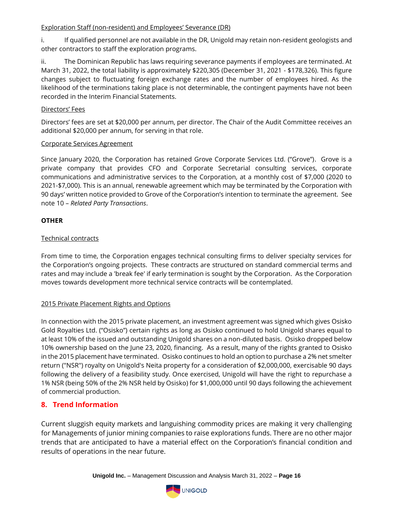#### Exploration Staff (non-resident) and Employees' Severance (DR)

i. If qualified personnel are not available in the DR, Unigold may retain non-resident geologists and other contractors to staff the exploration programs.

ii. The Dominican Republic has laws requiring severance payments if employees are terminated. At March 31, 2022, the total liability is approximately \$220,305 (December 31, 2021 - \$178,326). This figure changes subject to fluctuating foreign exchange rates and the number of employees hired. As the likelihood of the terminations taking place is not determinable, the contingent payments have not been recorded in the Interim Financial Statements.

#### Directors' Fees

Directors' fees are set at \$20,000 per annum, per director. The Chair of the Audit Committee receives an additional \$20,000 per annum, for serving in that role.

#### Corporate Services Agreement

Since January 2020, the Corporation has retained Grove Corporate Services Ltd. ("Grove"). Grove is a private company that provides CFO and Corporate Secretarial consulting services, corporate communications and administrative services to the Corporation, at a monthly cost of \$7,000 (2020 to 2021-\$7,000). This is an annual, renewable agreement which may be terminated by the Corporation with 90 days' written notice provided to Grove of the Corporation's intention to terminate the agreement. See note 10 – *Related Party Transactions*.

# **OTHER**

# Technical contracts

From time to time, the Corporation engages technical consulting firms to deliver specialty services for the Corporation's ongoing projects. These contracts are structured on standard commercial terms and rates and may include a 'break fee' if early termination is sought by the Corporation. As the Corporation moves towards development more technical service contracts will be contemplated.

# 2015 Private Placement Rights and Options

In connection with the 2015 private placement, an investment agreement was signed which gives Osisko Gold Royalties Ltd. ("Osisko") certain rights as long as Osisko continued to hold Unigold shares equal to at least 10% of the issued and outstanding Unigold shares on a non-diluted basis. Osisko dropped below 10% ownership based on the June 23, 2020, financing. As a result, many of the rights granted to Osisko in the 2015 placement have terminated. Osisko continues to hold an option to purchase a 2% net smelter return ("NSR") royalty on Unigold's Neita property for a consideration of \$2,000,000, exercisable 90 days following the delivery of a feasibility study. Once exercised, Unigold will have the right to repurchase a 1% NSR (being 50% of the 2% NSR held by Osisko) for \$1,000,000 until 90 days following the achievement of commercial production.

# **8. Trend Information**

Current sluggish equity markets and languishing commodity prices are making it very challenging for Managements of junior mining companies to raise explorations funds. There are no other major trends that are anticipated to have a material effect on the Corporation's financial condition and results of operations in the near future.

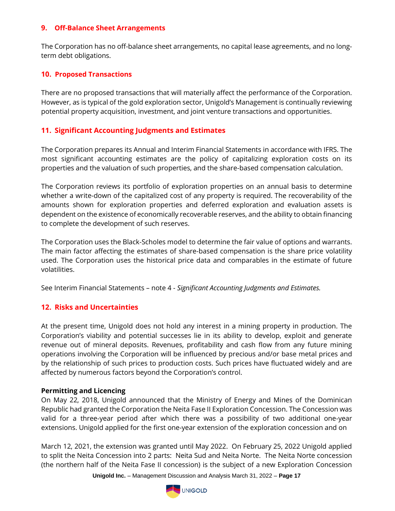### **9. Off-Balance Sheet Arrangements**

The Corporation has no off-balance sheet arrangements, no capital lease agreements, and no longterm debt obligations.

### **10. Proposed Transactions**

There are no proposed transactions that will materially affect the performance of the Corporation. However, as is typical of the gold exploration sector, Unigold's Management is continually reviewing potential property acquisition, investment, and joint venture transactions and opportunities.

# **11. Significant Accounting Judgments and Estimates**

The Corporation prepares its Annual and Interim Financial Statements in accordance with IFRS. The most significant accounting estimates are the policy of capitalizing exploration costs on its properties and the valuation of such properties, and the share-based compensation calculation.

The Corporation reviews its portfolio of exploration properties on an annual basis to determine whether a write-down of the capitalized cost of any property is required. The recoverability of the amounts shown for exploration properties and deferred exploration and evaluation assets is dependent on the existence of economically recoverable reserves, and the ability to obtain financing to complete the development of such reserves.

The Corporation uses the Black-Scholes model to determine the fair value of options and warrants. The main factor affecting the estimates of share-based compensation is the share price volatility used. The Corporation uses the historical price data and comparables in the estimate of future volatilities.

See Interim Financial Statements – note 4 - *Significant Accounting Judgments and Estimates.*

# **12. Risks and Uncertainties**

At the present time, Unigold does not hold any interest in a mining property in production. The Corporation's viability and potential successes lie in its ability to develop, exploit and generate revenue out of mineral deposits. Revenues, profitability and cash flow from any future mining operations involving the Corporation will be influenced by precious and/or base metal prices and by the relationship of such prices to production costs. Such prices have fluctuated widely and are affected by numerous factors beyond the Corporation's control.

#### **Permitting and Licencing**

On May 22, 2018, Unigold announced that the Ministry of Energy and Mines of the Dominican Republic had granted the Corporation the Neita Fase II Exploration Concession. The Concession was valid for a three-year period after which there was a possibility of two additional one-year extensions. Unigold applied for the first one-year extension of the exploration concession and on

March 12, 2021, the extension was granted until May 2022. On February 25, 2022 Unigold applied to split the Neita Concession into 2 parts: Neita Sud and Neita Norte. The Neita Norte concession (the northern half of the Neita Fase II concession) is the subject of a new Exploration Concession

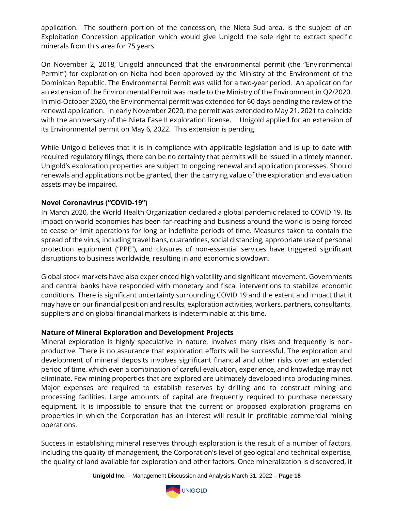application. The southern portion of the concession, the Nieta Sud area, is the subject of an Exploitation Concession application which would give Unigold the sole right to extract specific minerals from this area for 75 years.

On November 2, 2018, Unigold announced that the environmental permit (the "Environmental Permit") for exploration on Neita had been approved by the Ministry of the Environment of the Dominican Republic. The Environmental Permit was valid for a two-year period. An application for an extension of the Environmental Permit was made to the Ministry of the Environment in Q2/2020. In mid-October 2020, the Environmental permit was extended for 60 days pending the review of the renewal application. In early November 2020, the permit was extended to May 21, 2021 to coincide with the anniversary of the Nieta Fase II exploration license. Unigold applied for an extension of its Environmental permit on May 6, 2022. This extension is pending.

While Unigold believes that it is in compliance with applicable legislation and is up to date with required regulatory filings, there can be no certainty that permits will be issued in a timely manner. Unigold's exploration properties are subject to ongoing renewal and application processes. Should renewals and applications not be granted, then the carrying value of the exploration and evaluation assets may be impaired.

# **Novel Coronavirus ("COVID-19")**

In March 2020, the World Health Organization declared a global pandemic related to COVID 19. Its impact on world economies has been far-reaching and business around the world is being forced to cease or limit operations for long or indefinite periods of time. Measures taken to contain the spread of the virus, including travel bans, quarantines, social distancing, appropriate use of personal protection equipment ("PPE"), and closures of non-essential services have triggered significant disruptions to business worldwide, resulting in and economic slowdown.

Global stock markets have also experienced high volatility and significant movement. Governments and central banks have responded with monetary and fiscal interventions to stabilize economic conditions. There is significant uncertainty surrounding COVID 19 and the extent and impact that it may have on our financial position and results, exploration activities, workers, partners, consultants, suppliers and on global financial markets is indeterminable at this time.

# **Nature of Mineral Exploration and Development Projects**

Mineral exploration is highly speculative in nature, involves many risks and frequently is nonproductive. There is no assurance that exploration efforts will be successful. The exploration and development of mineral deposits involves significant financial and other risks over an extended period of time, which even a combination of careful evaluation, experience, and knowledge may not eliminate. Few mining properties that are explored are ultimately developed into producing mines. Major expenses are required to establish reserves by drilling and to construct mining and processing facilities. Large amounts of capital are frequently required to purchase necessary equipment. It is impossible to ensure that the current or proposed exploration programs on properties in which the Corporation has an interest will result in profitable commercial mining operations.

Success in establishing mineral reserves through exploration is the result of a number of factors, including the quality of management, the Corporation's level of geological and technical expertise, the quality of land available for exploration and other factors. Once mineralization is discovered, it

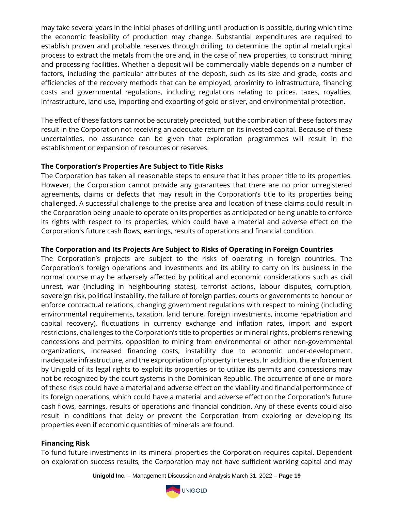may take several years in the initial phases of drilling until production is possible, during which time the economic feasibility of production may change. Substantial expenditures are required to establish proven and probable reserves through drilling, to determine the optimal metallurgical process to extract the metals from the ore and, in the case of new properties, to construct mining and processing facilities. Whether a deposit will be commercially viable depends on a number of factors, including the particular attributes of the deposit, such as its size and grade, costs and efficiencies of the recovery methods that can be employed, proximity to infrastructure, financing costs and governmental regulations, including regulations relating to prices, taxes, royalties, infrastructure, land use, importing and exporting of gold or silver, and environmental protection.

The effect of these factors cannot be accurately predicted, but the combination of these factors may result in the Corporation not receiving an adequate return on its invested capital. Because of these uncertainties, no assurance can be given that exploration programmes will result in the establishment or expansion of resources or reserves.

# **The Corporation's Properties Are Subject to Title Risks**

The Corporation has taken all reasonable steps to ensure that it has proper title to its properties. However, the Corporation cannot provide any guarantees that there are no prior unregistered agreements, claims or defects that may result in the Corporation's title to its properties being challenged. A successful challenge to the precise area and location of these claims could result in the Corporation being unable to operate on its properties as anticipated or being unable to enforce its rights with respect to its properties, which could have a material and adverse effect on the Corporation's future cash flows, earnings, results of operations and financial condition.

#### **The Corporation and Its Projects Are Subject to Risks of Operating in Foreign Countries**

The Corporation's projects are subject to the risks of operating in foreign countries. The Corporation's foreign operations and investments and its ability to carry on its business in the normal course may be adversely affected by political and economic considerations such as civil unrest, war (including in neighbouring states), terrorist actions, labour disputes, corruption, sovereign risk, political instability, the failure of foreign parties, courts or governments to honour or enforce contractual relations, changing government regulations with respect to mining (including environmental requirements, taxation, land tenure, foreign investments, income repatriation and capital recovery), fluctuations in currency exchange and inflation rates, import and export restrictions, challenges to the Corporation's title to properties or mineral rights, problems renewing concessions and permits, opposition to mining from environmental or other non-governmental organizations, increased financing costs, instability due to economic under-development, inadequate infrastructure, and the expropriation of property interests. In addition, the enforcement by Unigold of its legal rights to exploit its properties or to utilize its permits and concessions may not be recognized by the court systems in the Dominican Republic. The occurrence of one or more of these risks could have a material and adverse effect on the viability and financial performance of its foreign operations, which could have a material and adverse effect on the Corporation's future cash flows, earnings, results of operations and financial condition. Any of these events could also result in conditions that delay or prevent the Corporation from exploring or developing its properties even if economic quantities of minerals are found.

#### **Financing Risk**

To fund future investments in its mineral properties the Corporation requires capital. Dependent on exploration success results, the Corporation may not have sufficient working capital and may

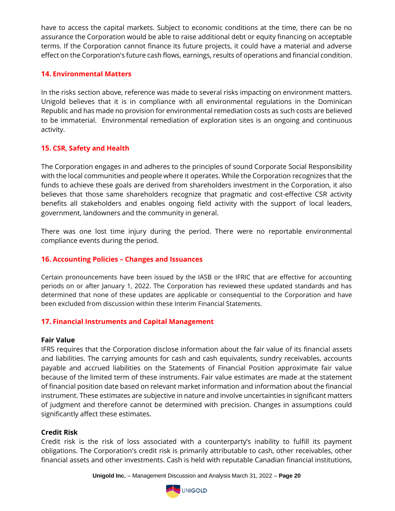have to access the capital markets. Subject to economic conditions at the time, there can be no assurance the Corporation would be able to raise additional debt or equity financing on acceptable terms. If the Corporation cannot finance its future projects, it could have a material and adverse effect on the Corporation's future cash flows, earnings, results of operations and financial condition.

#### **14. Environmental Matters**

In the risks section above, reference was made to several risks impacting on environment matters. Unigold believes that it is in compliance with all environmental regulations in the Dominican Republic and has made no provision for environmental remediation costs as such costs are believed to be immaterial. Environmental remediation of exploration sites is an ongoing and continuous activity.

# **15. CSR, Safety and Health**

The Corporation engages in and adheres to the principles of sound Corporate Social Responsibility with the local communities and people where it operates. While the Corporation recognizes that the funds to achieve these goals are derived from shareholders investment in the Corporation, it also believes that those same shareholders recognize that pragmatic and cost-effective CSR activity benefits all stakeholders and enables ongoing field activity with the support of local leaders, government, landowners and the community in general.

There was one lost time injury during the period. There were no reportable environmental compliance events during the period.

# **16. Accounting Policies – Changes and Issuances**

Certain pronouncements have been issued by the IASB or the IFRIC that are effective for accounting periods on or after January 1, 2022. The Corporation has reviewed these updated standards and has determined that none of these updates are applicable or consequential to the Corporation and have been excluded from discussion within these Interim Financial Statements.

# **17. Financial Instruments and Capital Management**

#### **Fair Value**

IFRS requires that the Corporation disclose information about the fair value of its financial assets and liabilities. The carrying amounts for cash and cash equivalents, sundry receivables, accounts payable and accrued liabilities on the Statements of Financial Position approximate fair value because of the limited term of these instruments. Fair value estimates are made at the statement of financial position date based on relevant market information and information about the financial instrument. These estimates are subjective in nature and involve uncertainties in significant matters of judgment and therefore cannot be determined with precision. Changes in assumptions could significantly affect these estimates.

# **Credit Risk**

Credit risk is the risk of loss associated with a counterparty's inability to fulfill its payment obligations. The Corporation's credit risk is primarily attributable to cash, other receivables, other financial assets and other investments. Cash is held with reputable Canadian financial institutions,

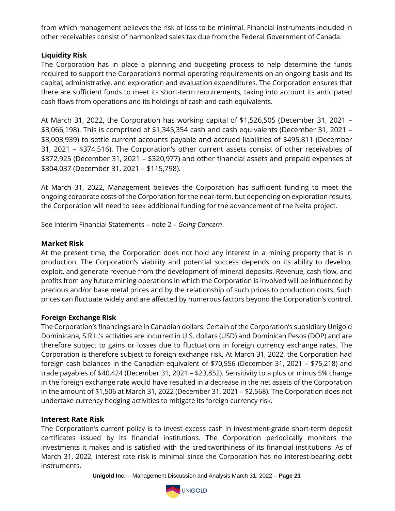from which management believes the risk of loss to be minimal. Financial instruments included in other receivables consist of harmonized sales tax due from the Federal Government of Canada.

# **Liquidity Risk**

The Corporation has in place a planning and budgeting process to help determine the funds required to support the Corporation's normal operating requirements on an ongoing basis and its capital, administrative, and exploration and evaluation expenditures. The Corporation ensures that there are sufficient funds to meet its short-term requirements, taking into account its anticipated cash flows from operations and its holdings of cash and cash equivalents.

At March 31, 2022, the Corporation has working capital of \$1,526,505 (December 31, 2021 – \$3,066,198). This is comprised of \$1,345,354 cash and cash equivalents (December 31, 2021 – \$3,003,939) to settle current accounts payable and accrued liabilities of \$495,811 (December 31, 2021 – \$374,516). The Corporation's other current assets consist of other receivables of \$372,925 (December 31, 2021 – \$320,977) and other financial assets and prepaid expenses of \$304,037 (December 31, 2021 – \$115,798).

At March 31, 2022, Management believes the Corporation has sufficient funding to meet the ongoing corporate costs of the Corporation for the near-term, but depending on exploration results, the Corporation will need to seek additional funding for the advancement of the Neita project.

See Interim Financial Statements – note 2 – *Going Concern*.

# **Market Risk**

At the present time, the Corporation does not hold any interest in a mining property that is in production. The Corporation's viability and potential success depends on its ability to develop, exploit, and generate revenue from the development of mineral deposits. Revenue, cash flow, and profits from any future mining operations in which the Corporation is involved will be influenced by precious and/or base metal prices and by the relationship of such prices to production costs. Such prices can fluctuate widely and are affected by numerous factors beyond the Corporation's control.

# **Foreign Exchange Risk**

The Corporation's financings are in Canadian dollars. Certain of the Corporation's subsidiary Unigold Dominicana, S.R.L.'s activities are incurred in U.S. dollars (USD) and Dominican Pesos (DOP) and are therefore subject to gains or losses due to fluctuations in foreign currency exchange rates. The Corporation is therefore subject to foreign exchange risk. At March 31, 2022, the Corporation had foreign cash balances in the Canadian equivalent of \$70,556 (December 31, 2021 – \$75,218) and trade payables of \$40,424 (December 31, 2021 – \$23,852). Sensitivity to a plus or minus 5% change in the foreign exchange rate would have resulted in a decrease in the net assets of the Corporation in the amount of \$1,506 at March 31, 2022 (December 31, 2021 – \$2,568). The Corporation does not undertake currency hedging activities to mitigate its foreign currency risk.

# **Interest Rate Risk**

The Corporation's current policy is to invest excess cash in investment-grade short-term deposit certificates issued by its financial institutions. The Corporation periodically monitors the investments it makes and is satisfied with the creditworthiness of its financial institutions. As of March 31, 2022, interest rate risk is minimal since the Corporation has no interest-bearing debt instruments.

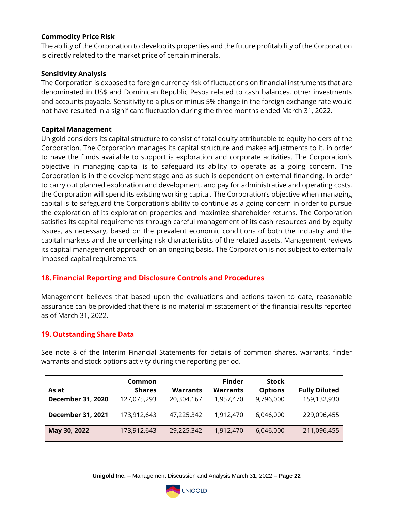#### **Commodity Price Risk**

The ability of the Corporation to develop its properties and the future profitability of the Corporation is directly related to the market price of certain minerals.

### **Sensitivity Analysis**

The Corporation is exposed to foreign currency risk of fluctuations on financial instruments that are denominated in US\$ and Dominican Republic Pesos related to cash balances, other investments and accounts payable. Sensitivity to a plus or minus 5% change in the foreign exchange rate would not have resulted in a significant fluctuation during the three months ended March 31, 2022.

#### **Capital Management**

Unigold considers its capital structure to consist of total equity attributable to equity holders of the Corporation. The Corporation manages its capital structure and makes adjustments to it, in order to have the funds available to support is exploration and corporate activities. The Corporation's objective in managing capital is to safeguard its ability to operate as a going concern. The Corporation is in the development stage and as such is dependent on external financing. In order to carry out planned exploration and development, and pay for administrative and operating costs, the Corporation will spend its existing working capital. The Corporation's objective when managing capital is to safeguard the Corporation's ability to continue as a going concern in order to pursue the exploration of its exploration properties and maximize shareholder returns. The Corporation satisfies its capital requirements through careful management of its cash resources and by equity issues, as necessary, based on the prevalent economic conditions of both the industry and the capital markets and the underlying risk characteristics of the related assets. Management reviews its capital management approach on an ongoing basis. The Corporation is not subject to externally imposed capital requirements.

# **18. Financial Reporting and Disclosure Controls and Procedures**

Management believes that based upon the evaluations and actions taken to date, reasonable assurance can be provided that there is no material misstatement of the financial results reported as of March 31, 2022.

# **19. Outstanding Share Data**

See note 8 of the Interim Financial Statements for details of common shares, warrants, finder warrants and stock options activity during the reporting period.

|                          | Common        |                 | <b>Finder</b>   | <b>Stock</b>   |                      |
|--------------------------|---------------|-----------------|-----------------|----------------|----------------------|
| As at                    | <b>Shares</b> | <b>Warrants</b> | <b>Warrants</b> | <b>Options</b> | <b>Fully Diluted</b> |
| <b>December 31, 2020</b> | 127,075,293   | 20,304,167      | 1,957,470       | 9,796,000      | 159,132,930          |
| <b>December 31, 2021</b> | 173,912,643   | 47,225,342      | 1,912,470       | 6,046,000      | 229,096,455          |
| May 30, 2022             | 173,912,643   | 29,225,342      | 1,912,470       | 6,046,000      | 211,096,455          |

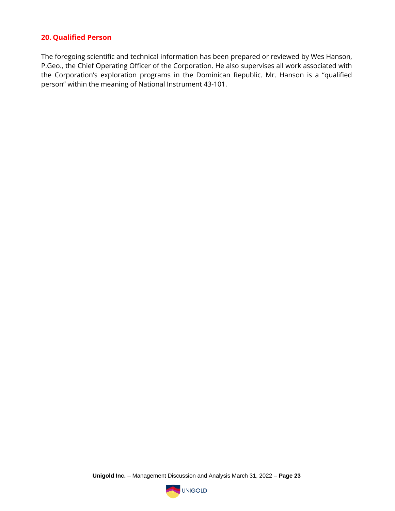# **20. Qualified Person**

The foregoing scientific and technical information has been prepared or reviewed by Wes Hanson, P.Geo., the Chief Operating Officer of the Corporation. He also supervises all work associated with the Corporation's exploration programs in the Dominican Republic. Mr. Hanson is a "qualified person" within the meaning of National Instrument 43-101.